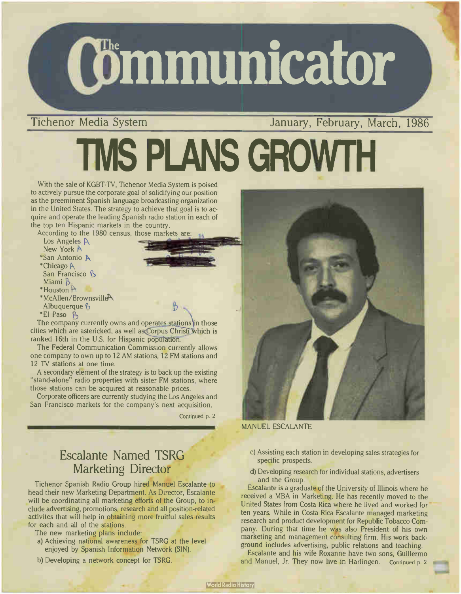

Tichenor Media System January, February, March, 1986

# TMS PLANS GROWTH

With the sale of KGBT-TV, Tichenor Media System is poised to actively pursue the corporate goal of solidifying our position as the preeminent Spanish language broadcasting organization in the United States. The strategy to achieve that goal is to acquire and operate the leading Spanish radio station in each of the top ten Hispanic markets in the country.

According to the 1980 census, those markets are:

- Los Angeles A New York \*San Antonio A  $*$ Chicago A
- San Francisco B wildilli $\mathcal{D}$
- $H$ ouston  $F$
- \*McAllen/BrownsvilleP\ Albuquerque 6
- \*El Paso **B**

The company currently owns and operates stations in those cities which are astericked, as well as Corpus Christi which is ranked 16th in the U.S. for Hispanic population.

The Federal Communication Commission currently allows one company to own up to 12 AM stations, 12 FM stations and 12 TV stations at one time.

A secondary element of the strategy is to back up the existing "stand-alone" radio properties with sister FM stations, where those stations can be acquired at reasonable prices.

Corporate officers are currently studying the Los Angeles and San Francisco markets for the company's next acquisition.

Continued p. 2



MANUEL ESCALANTE

#### Escalante Named TSRG Marketing Director

Tichenor Spanish Radio Group hired Manuel Escalante to head their new Marketing Department. As Director, Escalante will be coordinating all marketing efforts of the Group, to include advertising, promotions, research and all position- related activites that will help in obtaining more fruitful sales results for each and all of the stations.

- The new marketing plans include:
- a) Achieving national awareness for TSRG at the level enjoyed by Spanish Information Network (SIN).
- b) Developing a network concept for TSRG.
- C) Assisting each station in developing sales strategies for specific prospects.
- d) Developing research for individual stations, advertisers and the Group.

Escalante is a graduate of the University of Illinois where he received a MBA in Marketing. He has recently moved to the United States from Costa Rica where he lived and worked for ten years. While in Costa Rica Escalante managed marketing research and product development for Republic Tobacco Company. During that time he was also President of his own marketing and management consulting firm. His work background includes advertising, public relations and teaching.

Escalante and his wife Roxanne have two sons, Guillermo and Manuel, Jr. They now live in Harlingen. Continued p. 2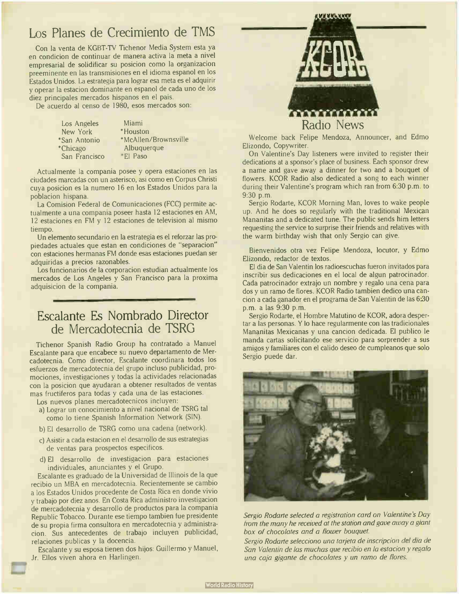#### Los Planes de Crecimiento de TMS

Con la venta de KGBT-TV Tichenor Media System esta ya en condicion de continuar de manera activa la meta a nivel empresarial de solidificar su posicion como la organizacion preeminente en las transmisiones en el idioma espanol en los Estados Unidos. La estrategia para lograr esa meta es el adquirir y operar la estacion dominante en espanol de cada uno de los diez principales mercados hispanos en el pais.

De acuerdo al censo de 1980, esos mercados son:

Los Angeles New York \*San Antonio \*Chicago San Francisco

Miami \*Houston \*McAllen/Brownsville Albuquerque \*El Paso

Actualmente la compania posee y opera estaciones en las ciudades marcadas con un asterisco, asi como en Corpus Christi cuya posicion es la numero 16 en los Estados Unidos para la poblacion hispana.

La Comision Federal de Comunicaciones (FCC) permite actualmente a una compania poseer hasta <sup>12</sup> estaciones en AM, <sup>12</sup> estaciones en FM y 12 estaciones de television al mismo tiempo.

Un elemento secundario en la estrategia es el reforzar las propiedades actuales que estan en condiciones de "separacion" con estaciones hermanas FM donde esas estaciones puedan ser adquiridas a precios razonables.

Los funcionarios de la corporacion estudian actualmente los mercados de Los Angeles y San Francisco para la proxima adquisicion de la compania.

### Escalante Es Nombrado Director de Mercadotecnia de TSRG

Tichenor Spanish Radio Group ha contratado a Manuel Escalante para que encabece su nuevo departamento de Mercadotecnia. Como director, Escalante coordinara todos los esfuerzos de mercadotecnia del grupo incluso publicidad, promociones, investigaciones y todas la actividades relacionadas con la posicion que ayudaran a obtener resultados de yentas mas fructiferos para todas y cada una de las estaciones.

Los nuevos planes mercadotecnicos incluyen:

- a) Lograr un conocimiento a nivel nacional de TSRG tal como lo tiene Spanish Information Network (SIN).
- b) El desarrollo de TSRG como una cadena (network).
- c) Asistir a cada estacion en el desarrollo de sus estrategias de yentas para prospectos especificos.
- d) El desarrollo de investigacion para estaciones individuales, anunciantes y el Grupo.

Escalante es graduado de la Universidad de Illinois de la que recibio un MBA en mercadotecnia. Recientemente se cambio a los Estados Unidos procedente de Costa Rica en donde vivio y trabajo por diez anos. En Costa Rica administro investigacion de mercadotecnia y desarrollo de productos para la compania Republic Tobacco. Durante ese tiempo tambien fue presidente de su propia firma consultora en mercadotecnia y administracion. Sus antecedentes de trabajo incluyen publicidad, relaciones publicas y la docencia.

Escalante y su esposa tienen dos hijos: Guillermo y Manuel, Jr. Ellos viven ahora en Harlingen.



Welcome back Felipe Mendoza, Announcer, and Edmo Elizondo, Copywriter.

On Valentine's Day listeners were invited to register their dedications at a sponsor's place of business. Each sponsor drew a name and gave away a dinner for two and a bouquet of flowers. KCOR Radio also dedicated a song to each winner during their Valentine's program which ran from 6:30 p.m. to 9:30 p.m.

Sergio Rodarte, KCOR Morning Man, loves to wake people up. And he does so regularly with the traditional Mexican Mananitas and a dedicated tune. The public sends him letters requesting the service to surprise their friends and relatives with the warm birthday wish that only Sergio can give.

Bienvenidos otra vez Felipe Mendoza, locutor, y Edmo Elizondo, redactor de textos.

El dia de San Valentin los radioescuchas fueron invitados para inscribir sus dedicaciones en el local de algun patrocinador. Cada patrocinador extrajo un nombre y regalo una cena para dos y un ramo de flores. KCOR Radio tambien dedico una cancion a cada ganador en el programa de San Valentin de las 6:30 p.m. a las 9:30 p.m.

Sergio Rodarte, el Hombre Matutino de KCOR, adora despertar a las personas. Y lo hace regularmente con las tradicionales Mananitas Mexicanas y una cancion dedicada. El publico le manda cartas solicitando ese servicio para sorprender a sus amigos y familiares con el calido deseo de cumpleanos que solo Sergio puede dar.



Sergio Rodarte selected a registration card on Valentine's Day from the many he received at the station and gave away a giant box of chocolates and a flower bouquet.

Sergio Rodarte selecciono una tarjeta de inscripcion del dia de San Valentin de las muchas que recibio en la estacion y regalo una caja gigante de chocolates y un ramo de flores.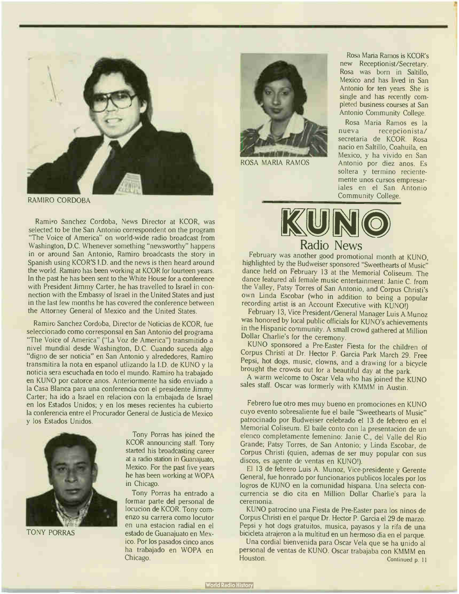

RAMIRO CORDOBA

Ramiro Sanchez Cordoba, News Director at KCOR, was selected to be the San Antonio correspondent on the program "The Voice of America" on world-wide radio broadcast from Washington, D.C. Whenever something "newsworthy" happens in or around San Antonio, Ramiro broadcasts the story in Spanish using KCOR'S I.D. and the news is then heard around the world. Ramiro has been working at KCOR for fourteen years. In the past he has been sent to the White House for a conference with President Jimmy Carter, he has travelled to Israel in connection with the Embassy of Israel in the United States and just in the last few months he has covered the conference between the Attorney General of Mexico and the United States.

Ramiro Sanchez Cordoba, Director de Noticias de KCOR, fue seleccionado como corresponsal en San Antonio del programa "The Voice of America" ("La Voz de America") transmitido a nivel mundial desde Washington, D.C. Cuando suceda algo "digno de ser noticia" en San Antonio y alrededores, Ramiro transmitira la nota en espanol utlizando la I.D. de KUNO y la noticia sera escuchada en todo el mundo. Ramiro ha trabajado en KUNO por catorce anos. Anteriormente ha sido enviado a la Casa Blanca para una conferencia con el presidente Jimmy Carter; ha ido a Israel en relacion con la embajada de Israel en los Estados Unidos; y en los meses recientes ha cubierto la conferencia entre el Procurador General de Justicia de Mexico y los Estados Unidos.



TONY PORRAS

Tony Porras has joined the KCOR announcing staff. Tony started his broadcasting career at a radio station in Guanajuato, Mexico. For the past five years he has been working at WOPA in Chicago.

Tony Porras ha entrado a formar parte del personal de locucion de KCOR. Tony comenzo su carrera como locutor en una estacion radial en el estado de Guanajuato en Mexico. Por los pasados cinco anos ha trabajado en WOPA en Chicago.



ROSA MARIA RAMOS

Rosa Maria Ramos is KCOR's new Receptionist/Secretary. Rosa was born in Saltillo, Mexico and has lived in San Antonio for ten years. She is single and has recently completed business courses at San Antonio Community College.

Rosa Maria Ramos es la nueva recepcionista/ secretaria de KCOR. Rosa nacio en Saltillo, Coahuila, en Mexico, y ha vivido en San Antonio por diez anos. Es soltera y termino recientemente unos cursos empresariales en el San Antonio Community College.



Radio News

February was another good promotional month at KUNO, highlighted by the Budweiser sponsored "Sweethearts of Music" dance held on February 13 at the Memorial Coliseum. The dance featured ah female music entertainment: Janie C. from the Valley, Patsy Torres of San Antonio, and Corpus Christi's own Linda Escobar (who in addition to being a popular recording artist is an Account Executive with KUNO!)

February 13, Vice President/General Manager Luis A. Munoz was honored by local public officials for KUNO's achievements in the Hispanic community. A small crowd gathered at Million Dollar Charlie's for the ceremony.

KUNO sponsored a Pre-Easter Fiesta for the children of Corpus Christi at Dr. Hector P. Garcia Park March 29. Free Pepsi, hot dogs, music, clowns, and a drawing for a bicycle brought the crowds out for a beautiful day at the park.

A warm welcome to Oscar Vela who has joined the KUNO sales staff. Oscar was formerly with KMMM in Austin.

Febrero fue otro mes muy bueno en promociones en KUNO cuyo evento sobresaliente fue el baile "Sweethearts of Music" patrocinado por Budweiser celebrado el 13 de febrero en el Memorial Coliseum. El baile conto con la presentacion de un elenco completamente femenino: Janie C., del Valle del Rio Grande; Patsy Torres, de San Antonio; y Linda Escobar, de Corpus Christi (quien, ademas de ser muy popular con sus discos, es agente de ventas en KUNO!).

El 13 de febrero Luis A. Munoz, Vice-presidente y Gerente General, fue honrado por funcionarios publicos locales por los logros de KUNO en la comunidad hispana. Una selecta concurrencia se dio cita en Million Dollar Charlie's para la ceremonia.

KUNO patrocino una Fiesta de Pre-Easter para los ninos de Corpus Christi en el parque Dr. Hector P. Garcia el 29 de marzo. Pepsi y hot dogs gratuitos, musica, payasos y la rifa de una bicicleta atrajeron a la multitud en un hermoso dia en el parque.

Una cordial bienvenida para Oscar Vela que se ha unido al personal de ventas de KUNO. Oscar trabajaba con KMMM en Houston. Continued p. 11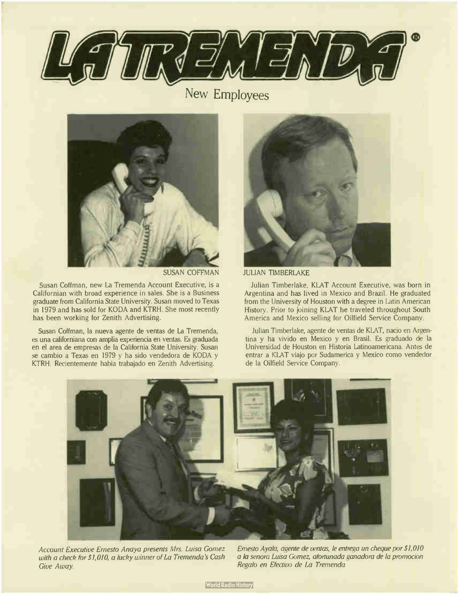

New Employees



SUSAN COFFMAN

Susan Coffman, new La Tremenda Account Executive, is a Californian with broad experience in sales. She is a Business graduate from California State University. Susan moved to Texas in 1979 and has sold for KODA and KTRH. She most recently has been working for Zenith Advertising.

Susan Coffman, la nueva agente de yentas de La Tremenda, es una californiana con amplia experiencia en yentas. Es graduada en el area de empresas de la California State University. Susan se cambio a Texas en 1979 y ha sido vendedora de KODA y KTRH. Recientemente habia trabajado en Zenith Advertising.



**JULIAN TIMBERLAKE** 

Julian Timberlake, KLAT Account Executive, was born in Argentina and has lived in Mexico and Brazil. He graduated from the University of Houston with a degree in Latin American History. Prior to joining KLAT he traveled throughout South America and Mexico selling for Oilfield Service Company.

Julian Timberlake, agente de yentas de KLAT, nacio en Argentina y ha vivido en Mexico y en Brasil. Es graduado de la Universidad de Houston en Historia Latinoamericana. Antes de entrar a KLAT viajo por Sudamerica y Mexico como vendedor de la Oilfield Service Company.



Account Executive Ernesto Anaya presents Mrs. Luisa Gomez with a check for \$1,010, a lucky winner of La Tremenda's Cash Give Away.

Ernesto Ayala, agente de yentas, le entrega un cheque por \$ 1,010 a la senora Luisa Gomez, afortunada ganadora de la promocion Regalo en Efectivo de La Tremenda.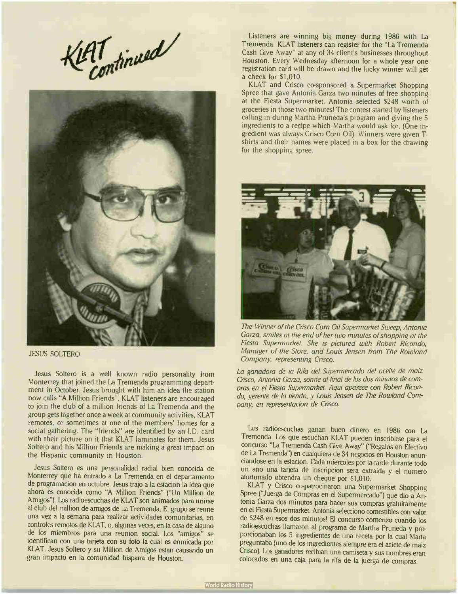AT tinued



JESUS SOLTERO

Jesus Soltero is a well known radio personality from Monterrey that joined the La Tremenda programming department in October. Jesus brought with him an idea the station now calls "A Million Friends". KLAT listeners are encouraged to join the club of a million friends of La Tremenda and the group gets together once a week at community activities, KLAT remotes. or sometimes at one of the members' homes for a social gathering. The "friends" are identified by an I.D. card with their picture on it that KLAT laminates for them. Jesus Soltero and his Million Friends are making a great impact on the Hispanic community in Houston.

Jesus Soltero es una personalidad radial bien conocida de Monterrey que ha entrado a La Tremenda en el departamento de programacion en octubre. Jesus trajo a la estacion la idea que ahora es conocida como "A Million Friends" (" Un Million de Amigos"). Los radioescuchas de KLAT son animados para unirse al club del million de amigos de La Tremenda. El grupo se reune una vez a la semana para realizar actividades comunitarias, en controles remotos de KLAT, o, algunas veces, en la casa de alguno de los miembros para una reunion social. Los "amigos" se identifican con una tarjeta con su foto la cual es enmicada por KLAT. Jesus Soltero y su Million de Amigos estan causando un gran impacto en la comunidad hispana de Houston.

Listeners are winning big money during 1986 with La Tremenda. KLAT listeners can register for the "La Tremenda Cash Give Away" at any of 34 client's businesses throughout Houston. Every Wednesday afternoon for a whole year one registration card will be drawn and the lucky winner will gét a check for \$1,010.

KLAT and Crisco co-sponsored a Supermarket Shopping Spree that gave Antonia Garza two minutes of free shopping at the Fiesta Supermarket. Antonia selected \$248 worth of groceries in those two minutes! The contest started by listeners calling in during Martha Pruneda's program and giving the 5 ingredients to a recipe which Martha would ask for. (One ingredient was always Crisco Corn Oil). Winners were given Tshirts and their names were placed in a box for the drawing for the shopping spree.



The Winner of the Crisco Corn Oil Supermarket Sweep, Antonia Garza, smiles at the end of her two minutes of shopping at the Fiesta Supermarket. She is pictured with Robert Ricondo, Manager of the Store, and Louis Jensen from The Rowland Company, representing Crisco.

La ganadora de la Rifa del Supermercado del aceite de maiz Crisco, Antonia Garza, sonné al final de los dos minutos de compras en el Fiesta Supermarket. Aqui aparece con Robert Ricondo, gerente de la tienda, y Louis Jensen de The Rowland Company, en representacion de Crisco.

Los radioescuchas ganan buen dinero en 1986 con La Tremenda. Los que escuchan KLAT pueden inscribirse para el concurso "La Tremenda Cash Give Away" ("Regalos en Efectivo de La Tremenda") en cualquiera de 34 negocios en Houston anunciandose en la estacion. Cada miercoles por la tarde durante todo un ano una tarjeta de inscripcion sera extraida y el numero afortunado obtendra un cheque por \$1,010.

KLAT y Crisco co-patrocinaron una Supermarket Shopping Spree ("Juerga de Compras en el Supermercado") que dio a Antonia Garza dos minutos para hacer sus compras gratuitamente en el Fiesta Supermarket. Antonia selecciono comestibles con valor de \$ 248 en esos dos minutos! El concurso comenzo cuando los radioescuchas llamaron al programa de Martha Pruneda y proporcionaban los 5 ingredientes de una receta por la cual Marta preguntaba (uno de los ingredientes siempre era el aciete de maiz Crisco). Los ganadores recibian una camiseta y sus nombres eran colocados en una caja para la rifa de la juerga de compras.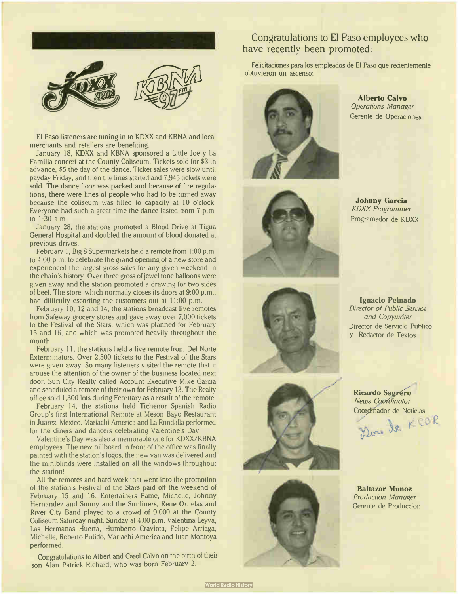

El Paso listeners are tuning in to KDXX and KBNA and local merchants and retailers are benefiting.

January 18, KDXX and KBNA sponsored a Little Joe y La Familia concert at the County Coliseum. Tickets sold for \$3 in advance, \$5 the day of the dance. Ticket sales were slow until payday Friday, and then the lines started and 7,945 tickets were sold. The dance floor was packed and because of fire regulations, there were lines of people who had to be turned away because the coliseum was filled to capacity at 10 o'clock. Everyone had such a great time the dance lasted from 7 p.m. to 1:30 a.m.

January 28, the stations promoted a Blood Drive at Tigua General Hospital and doubled the amount of blood donated at previous drives.

February 1, Big 8 Supermarkets held a remote from 1:00 p.m. to 4:00 p.m. to celebrate the grand opening of a new store and experienced the largest gross sales for any given weekend in the chain's history. Over three gross of jewel tone balloons were given away and the station promoted a drawing for two sides of beef. The store, which normally closes its doors at 9:00 p.m., had difficulty escorting the customers out at 11:00 p.m.

February 10, 12 and 14, the stations broadcast live remotes from Safeway grocery stores and gave away over 7,000 tickets to the Festival of the Stars, which was planned for February 15 and 16, and which was promoted heavily throughout the month.

February 11, the stations held a live remote from Del Norte Exterminators. Over 2,500 tickets to the Festival of the Stars were given away. So many listeners visited the remote that it arouse the attention of the owner of the business located next door. Sun City Realty called Account Executive Mike Garcia and scheduled a remote of their own for February 13. The Realty office sold 1,300 lots during February as a result of the remote.

February 14, the stations held Tichenor Spanish Radio Group's first International Remote at Meson Bayo Restaurant in Juarez, Mexico. Mariachi America and La Rondalla performed for the diners and dancers celebrating Valentine's Day.

Valentine's Day was also a memorable one for KDXX/KBNA employees. The new billboard in front of the office was finally painted with the station's logos, the new van was delivered and the miniblinds were installed on all the windows throughout the station!

All the remotes and hard work that went into the promotion of the station's Festival of the Stars paid off the weekend of February 15 and 16. Entertainers Fame, Michelle, Johnny Hernandez and Sunny and the Sunliners, Rene Ornelas and River City Band played to a crowd of 9,000 at the County Coliseum Saturday night. Sunday at 4:00 p.m. Valentina Leyva, Las Hermanas Huerta, Humberto Craviota, Felipe Arriaga, Michelle, Roberto Pulido, Mariachi America and Juan Montoya performed.

Congratulations to Albert and Carol Calvo on the birth of their son Alan Patrick Richard, who was born February 2.

#### Congratulations to El Paso employees who have recently been promoted:

Felicitaciones para los empleados de El Paso que recientemente obtuvieron un ascenso:



Alberto Calvo Operations Manager Gerente de Operaciones



Johnny Garcia KDXX Programmer Programador de KDXX



Ignacio Peinado Director of Public Service and Copywriter Director de Servicio Publico y Redactor de Textos





Ricardo Sagréro **News Coordinator** 

Coordinador de Noticias There is

Baltazar Munoz Production Manager Gerente de Produccion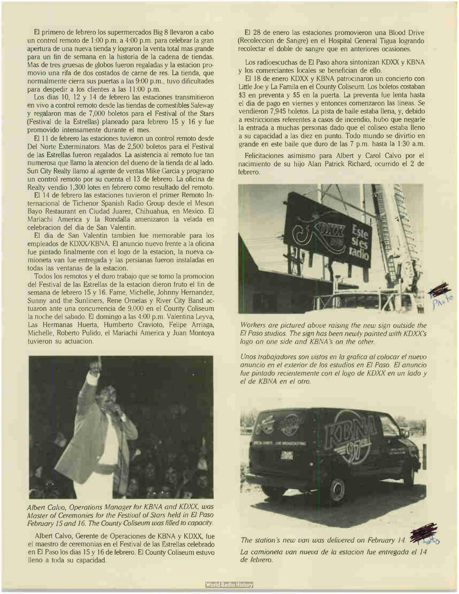El primero de febrero los supermercados Big 8 llevaron a cabo un control remoto de 1:00 p.m. a 4:00 p.m. para celebrar la gran apertura de una nueva tienda y lograron la venta total mas grande para un fin de semana en la historia de la cadena de tiendas. Mas de tres gruesas de globos fueron regaladas y la estacion promovio una rifa de dos costados de carne de res. La tienda, que normalmente cierra sus puertas a las 9:00 p.m., tuvo dificultades para despedir a los clientes a las 11:00 p.m.

Los dias 10, 12 y 14 de febrero las estaciones transmitieron en vivo a control remoto desde las tiendas de comestibles Safeway y regalaron mas de 7,000 boletos para el Festival of the Stars (Festival de la Estrellas) planeado para febrero 15 y 16 y fue promovido intensamente durante el mes.

El 11 de febrero las estaciones tuvieron un control remoto desde Del Norte Exterminators. Mas de 2,500 boletos para el Festival de las Estrellas fueron regalados. La asistencia al remoto fue tan numerosa que llamo la atencion del dueno de la tienda de al lado. Sun City Realty llamo al agente de yentas Mike Garcia y programo un control remoto por su cuenta el 13 de febrero. La oficina de Realty vendio 1,300 lotes en febrero como resultado del remoto.

El 14 de febrero las estaciones tuvieron el primer Remoto Internacional de Tichenor Spanish Radio Group desde el Meson Bayo Restaurant en Ciudad Juarez, Chihuahua, en Mexico. El Mariachi America y la Rondalla amenizaron la velada en celebracion del dia de San Valentin.

El dia de San Valentin tambien fue memorable para los empleados de KDXX/KBNA. El anuncio nuevo frente a la oficina fue pintado finalmente con el logo de la estacion, la nueva camioneta van fue entregada y las persianas fueron instaladas en todas las ventanas de la estacion.

Todos los remotos y el duro trabajo que se tomo la promocion del Festival de las Estrellas de la estacion dieron fruto el fin de semana de febrero 15 y 16. Fame, Michelle, Johnny Hernandez, Sunny and the Sunliners, Rene Ornelas y River City Band actuaron ante una concurrencia de 9,000 en el County Coliseum la noche del sabado. El domingo a las 4:00 p.m. Valentina Leyva, Las Hermanas Huerta, Humberto Cravioto, Felipe Arriaga, Michelle, Roberto Pulido, el Mariachi America y Juan Montoya tuvieron su actuacion.



Albert Calvo, Operations Manager for KBNA and KDXX, was Master of Ceremonies for the Festival of Stars held in El Paso February 15 and 16. The County Coliseum was filled to capacity.

Albert Calvo, Gerente de Operaciones de KBNA y KDXX, fue el maestro de ceremonias en el Festival de las Estrellas celebrado en El Paso los dias 15 y 16 de febrero. El County Coliseum estuvo lleno a toda su capacidad.

El 28 de enero las estaciones promovieron una Blood Drive (Recoleccion de Sangre) en el Hospital General Tigua logrando recolectar el doble de sangre que en anteriores ocasiones.

Los radioescuchas de El Paso ahora sintonizan KDXX y KBNA y los comerciantes locales se benefician de ello.

El 18 de enero KDXX y KBNA patrocinaron un concierto con Little Joe y La Famila en el County Coliseum. Los boletos costaban \$3 en preventa y \$5 en la puerta. La preventa fue lenta hasta el dia de pago en viernes y entonces comenzaron las lineas. Se vendieron 7,945 boletos. La pista de baile estaba llena, y, debido a restricciones referentes a casos de incendio, hubo que negarle la entrada a muchas personas dado que el coliseo estaba lleno a su capacidad a las diez en punto. Todo mundo se divirtio en grande en este baile que duro de las 7 p.m. hasta la 1:30 a.m.

Felicitaciones asimismo para Albert y Carol Calvo por el nacimiento de su hijo Alan Patrick Richard, ocurrido el 2 de febrero.



Workers are pictured above raising the new sign outside the El Paso studios. The sign has been newly painted with KDXX's logo on one side and KBNA 's on the other.

Unos trabajadores son vistos en la grafica al colocar el nuevo anuncio en el exterior de los estudios en El Paso. El anuncio fue pintado recientemente con el logo de KDXX en un lado y el de KBNA en el otro.



The station's new van was delivered on February 14. La camioneta van nueva de la estacion fue entregada el 14 de febrero.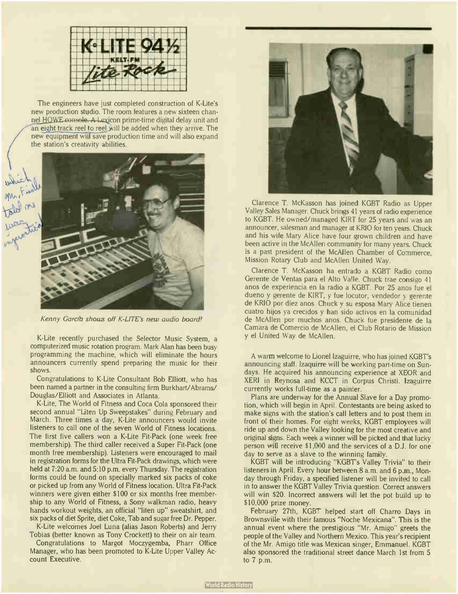

The engineers have just completed construction of K-Lite's new production studio. The room features a new sixteen channel HOWE console. A Lexicon prime-time digital delay unit and an eight track reel to reel will be added when they arrive. The new equipment will save production time and will also expand the station's creativity abilities.



Kenny Garcib shows off K-LITE's new audio board!

K-Lite recently purchased the Selector Music System, a computerized music rotation program. Mark Alan has been busy programming the machine, which will eliminate the hours announcers currently spend preparing the music for their shows.

Congratulations to K-Lite Consultant Bob Elliott, who has been named a partner in the consulting firm Burkhart/Abrams/ Douglas/Elliott and Associates in Atlanta.

K-Lite, The World of Fitness and Coca Cola sponsored their second annual "Liten Up Sweepstakes" during February and March. Three times a day, K-Lite announcers would invite listeners to call one of the seven World of Fitness locations. The first five callers won a K-Lite Fit-Pack (one week free membership). The third caller received a Super Fit-Pack (one month free membership). Listeners were encouraged to mail in registration forms for the Ultra Fit-Pack drawings, which were held at 7:20 a.m. and 5:10 p.m. every Thursday. The registration forms could be found on specially marked six packs of coke or picked up from any World of Fitness location. Ultra Fit-Pack winners were given either \$100 or six months free membership to any World of Fitness, a Sony walkman radio, heavy hands workout weights, an official "liten up" sweatshirt, and six packs of diet Sprite, diet Coke, Tab and sugar free Dr. Pepper.

K-Lite welcomes Joel Luna (alias Jason Roberts) and Jerry Tobias (better known as Tony Crockett) to their on air team.

Congratulations to Margot Moczygemba, Pharr Office Manager, who has been promoted to K-Lite Upper Valley Account Executive.



Clarence T. McKasson has joined KGBT Radio as Upper Valley Sales Manager. Chuck brings 41 years of radio experience to KGBT. He owned/managed KIRT for 25 years and was an announcer, salesman and manager at KRIO for ten years. Chuck and his wife Mary Alice have four grown children and have been active in the McAllen community for many years. Chuck is a past president of the McAllen Chamber of Commerce, Mission Rotary Club and McAllen United Way.

Clarence T. McKasson ha entrado a KGBT Radio como Gerente de Ventas para el Alto Valle. Chuck trae consigo 41 anos de experiencia en la radio a KGBT. Por <sup>25</sup> anos fue el dueno y gerente de KIRT, y fue locutor, vendedor y gerente de KRIO por diez anos. Chuck y su esposa Mary Alice tienen cuatro hijos ya crecidos y han sido activos en la comunidad de McAllen por muchos anos. Chuck fue presidente de la Camara de Comercio de McAllen, el Club Rotario de Mission y el United Way de McAllen.

A warm welcome to Lionel Izaguirre, who has joined KGBT's announcing staff. lzaquirre will be working part-time on Sundays. He acquired his announcing experience at XEOR and XERI in Reynosa and KCCT in Corpus Christi. lzaguirre currently works full-time as a painter.

Plans are underway for the Annual Slave for a Day promotion, which will begin in April. Contestants are being asked to make signs with the station's call letters and to post them in front of their homes. For eight weeks, KGBT employees will ride up and down the Valley looking for the most creative and original signs. Each week a winner will be picked and that lucky person will receive \$1,000 and the services of a D.J. for one day to serve as a slave to the winning family.

KGBT will be introducing "KGBT's Valley Trivia" to their listeners in April. Every hour between 8 a.m. and 6 p.m., Monday through Friday, a specified listener will be invited to call in to answer the KGBT Valley Trivia question. Correct answers will win \$20. Incorrect answers will let the pot build up to \$10,000 prize money.

February 27th, KGBT helped start off Charro Days in Brownsville with their famous " Noche Mexicana". This is the annual event where the prestigious " Mr. Amigo" greets the people of the Valley and Northern Mexico. This year's recipient of the Mr. Amigo title was Mexican singer, Emmanuel. KGBT also sponsored the traditional street dance March 1st from 5 to 7 p.m.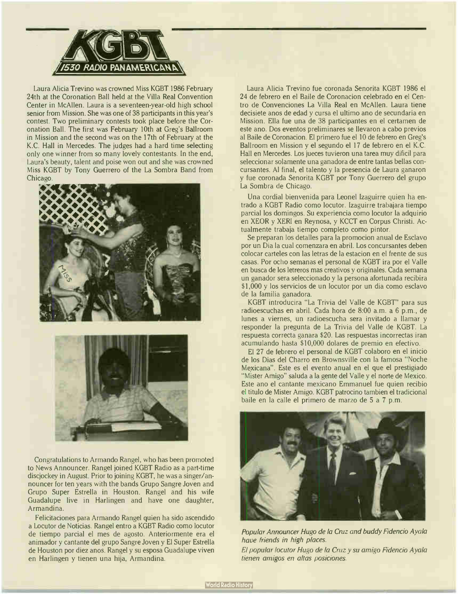

Laura Alicia Trevino was crowned Miss KGBT 1986 February 24th at the Coronation Ball held at the Villa Real Convention Center in McAllen. Laura is a seventeen-year-old high school senior from Mission. She was one of 38 participants in this year's contest. Two preliminary contests took place before the Coronation Ball. The first was February 10th at Greg's Ballroom in Mission and the second was on the 17th of February at the K.C. Hall in Mercedes. The judges had a hard time selecting only one winner from so many lovely contestants. In the end, Laura's beauty, talent and poise won out and she was crowned Miss KGBT by Tony Guerrero of the La Sombra Band from **Chicago** 





Congratulations to Armando Rangel, who has been promoted to News Announcer. Rangel joined KGBT Radio as a part-time discjockey in August. Prior to joining KGBT, he was a singer/announcer for ten years with the bands Grupo Sangre Joven and Grupo Super Estrella in Houston. Rangel and his wife Guadalupe live in Harlingen and have one daughter, Armandina.

Felicitaciones para Armando Rangel quien ha sido ascendido a Locutor de Noticias. Rangel entro a KGBT Radio como locutor de tiempo parcial el mes de agosto. Anteriormente era el animador y cantante del grupo Sangre Joven y El Super Estrella de Houston por diez anos. Rangel y su esposa Guadalupe viven en Harlingen y tienen una hija, Armandina.

Laura Alicia Trevino fue coronada Senorita KGBT 1986 el 24 de febrero en el Baile de Coronacion celebrado en el Centro de Convenciones La Villa Real en McAllen. Laura tiene decisiete anos de edad y cursa el ultimo ano de secundaria en Mission. Ella fue una de 38 participantes en el certamen de este ano. Dos eventos preliminares se llevaron a cabo previos al Baile de Coronacion. El primero fue el 10 de febrero en Greg's Ballroom en Mission y el segundo el 17 de febrero en el K.C. Hall en Mercedes. Los jueces tuvieron una tarea muy dificil para seleccionar solamente una ganadora de entre tantas bellas concursantes. Al final, el talento y la presencia de Laura ganaron y fue coronada Senorita KGBT por Tony Guerrero del grupo La Sombra de Chicago.

Una cordial bienvenida para Leonel Izaguirre quien ha entrado a KGBT Radio como locutor. Izaguirre trabajara tiempo parcial los domingos. Su experiencia como locutor la adquirio en XEOR y XERI en Reynosa, y KCCT en Corpus Christi. Actualmente trabaja tiempo completo como pintor.

Se preparan los detalles para la promocion anual de Esclavo por un Dia la cual comenzara en abril. Los concursantes deben colocar carteles con las letras de la estacion en el frente de sus casas. Por ocho semanas el personal de KGBT ira por el Valle en busca de los letreros mas creativos y originales. Cada semana un ganador sera seleccionado y la persona afortunada recibira \$1,000 y los servicios de un locutor por un dia como esclavo de la familia ganadora.

KGBT introducira "La Trivia del Valle de KGBT" para sus radioescuchas en abril. Cada hora de 8:00 a.m. a 6 p.m., de lunes a viernes, un radioescucha sera invitado a llamar y responder la pregunta de La Trivia del Valle de KGBT. La respuesta correcta ganara \$20. Las respuestas incorrectas iran acumulando hasta \$ 10,000 dolares de premio en efectivo.

El 27 de febrero el personal de KGBT colaboro en el inicio de los Dias del Charro en Brownsville con la famosa " Noche Mexicana". Este es el evento anual en el que el prestigiado "Mister Amigo" saluda a la gente del Valle y el norte de Mexico. Este ano el cantante mexicano Emmanuel fue quien recibio el titulo de Mister Amigo. KGBT patrocino tambien el tradicional baile en la calle el primero de marzo de 5 a 7 p.m.



Popular Announcer Hugo de la Cruz and buddy Fidencio Ayala have friends in high places.

El popular locutor Hugo de la Cruz y su amigo Fidencio Ayala tienen amigos en altas posiciones.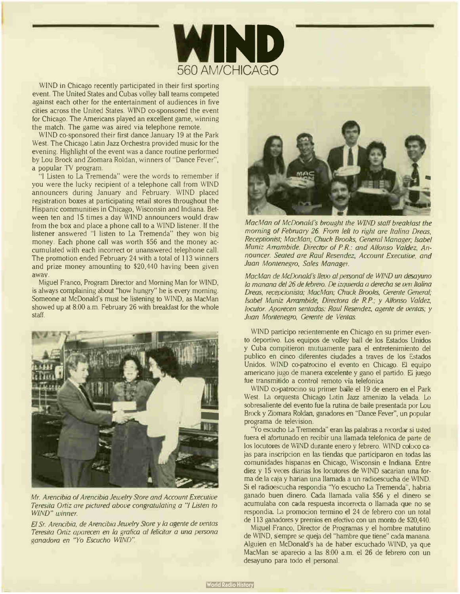

WIND in Chicago recently participated in their first sporting event. The United States and Cubas volley ball teams competed against each other for the entertainment of audiences in five cities across the United States. WIND co-sponsored the event for Chicago. The Americans played an excellent game, winning the match. The game was aired via telephone remote.

WIND co-sponsored their first dance January 19 at the Park West. The Chicago Latin Jazz Orchestra provided music for the evening. Highlight of the event was a dance routine performed by Lou Brock and Ziomara Roldan, winners of " Dance Fever", a popular TV program.

"I Listen to La Tremenda" were the words to remember if you were the lucky recipient of a telephone call from WIND announcers during January and February. WIND placed registration boxes at participating retail stores throughout the Hispanic communities in Chicago, Wisconsin and Indiana. Between ten and 15 times a day WIND announcers would draw from the box and place a phone call to a WIND listener. If the listener answered "I listen to La Tremenda" they won big money. Each phone call was worth \$56 and the money accumulated with each incorrect or unanswered telephone call. The promotion ended February 24 with a total of 113 winners and prize money amounting to \$20,440 having been given away.

Miguel Franco, Program Director and Morning Man for WIND, is always complaining about "how hungry" he is every morning. Someone at McDonald's must be listening to WIND, as MacMan showed up at 8:00 a.m. February 26 with breakfast for the whole staff.



Mr. Arencibia of Arencibia Jewelry Store and Account Executive Teresita Ortiz are pictured above congratulating a "I Listen to WIND" winner.

El Sr. Arencibia, de Arencibia Jewelry Store y la agente de yentas Teresita Ortiz aparecen en la grafica al felicitar a una persona ganadora en "Yo Escucho WIND".



MacMan of McDonald's brought the WIND staff breakfast the morning of February 26. From left to right are Italina Dreas, Receptionist; MacMan, Chuck Brooks, General Manager, Isabel Muniz Arrambide, Director of P.R.: and Alfonso Valdez, Announcer. Seated are Raul Resendez, Account Executive, and Juan Montenegro, Sales Manager.

MacMan de McDonald's llevo al personal de WIND un desayuno la manana del 26 de febrero. De izquierda a derecha se ven Italina Dreas, recepcionista; MacMan; Chuck Brooks, Gerente General; Isabel Muniz Arrambide, Directora de RP; y Alfonso Valdez, locutor. Aparecen sentados: Raul Resendez, agente de ventas; y Juan Montenegro, Gerente de Ventas.

WIND participo recientemente en Chicago en su primer evento deportivo. Los equipos de volley ball de los Estados Unidos y Cuba compitieron mutuamente para el entretenimiento del publico en cinco diferentes ciudades a traves de los Estados Unidos. WIND co-patrocino el evento en Chicago. El equipo americano jugo de manera excelente y gano el partido. El juego fue transmitido a control remoto via telefonica

WIND co-patrocino su primer baile el 19 de enero en el Park West. La orquesta Chicago Latin Jazz amenizo la velada. Lo sobresaliente del evento fue la rutina de baile presentada por Lou Brock y Ziomara Roldan, ganadores en " Dance Fever", un popular programa de television.

"Yo escucho la Tremenda" eran las palabras a recordar si usted fuera el afortunado en recibir una llamada telefonica de parte de los locutores de WIND durante enero y febrero. WIND coloco cajas para inscripcion en las tiendas que participaron en todas las comunidades hispanas en Chicago, Wisconsin e Indiana. Entre diez y 15 veces diarias los locutores de WIND sacarian una forma de la caja y harian una llamada a un radioescucha de WIND. Si el radioescucha respondia "Yo escucho La Tremenda", habria ganado buen dinero. Cada llamada valia \$56 y el dinero se acumulaba con cada respuesta incorrecta o llamada que no se respondia. La promocion termino el 24 de febrero con un total de 113 ganadores y premios en efectivo con un monto de \$20,440.

Miguel Franco, Director de Programas y el hombre matutino de WIND, siempre se queja del "hambre que tiene" cada manana. Alguien en McDonald's ha de haber escuchado WIND, ya que MacMan se aparecio a las 8:00 a.m. el 26 de febrero con un desayuno para todo el personal.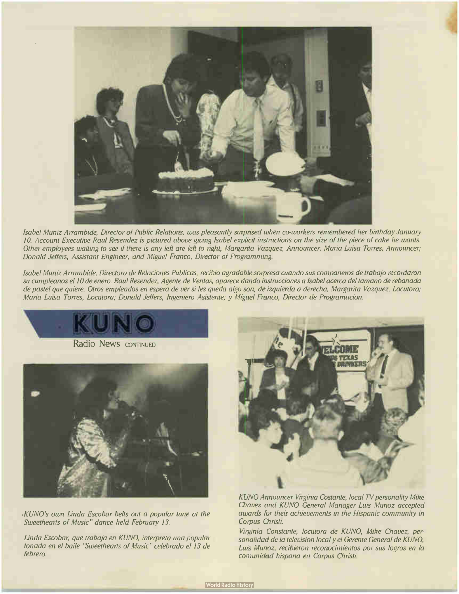

Isabel Muniz Arrambide, Director of Public Relations, was pleasantly surprised when co-workers remembered her birthday January 10. Account Executive Raul Resendez is pictured above giving Isabel explicit instructions on the size of the piece of cake he wants. Other employees waiting to see if there is any left are left to right, Margarita Vazquez, Announcer; Maria Luisa Torres, Announcer; Donald Jeffers, Assistant Engineer; and Miguel Franco, Director of Programming.

Isabel Muniz Arrambide, Directora de Relaciones Publicas, recibio agradable sorpresa cuando sus companeros de trabajo recordaron su cumpleanos el 10 de enero. Raul Resendez, Agente de Ventas, aparece dando instrucciones a Isabel acerca del tamano de rebanada de pastel que quiere. Otros empleados en espera de ver si les queda algo son, de izquierda a derecha, Margarita Vazquez, Locutora; Maria Luisa Torres, Locutora; Donald Jeffers, Ingeniero Asistente; y Miguel Franco, Director de Programacion.



KUNO's own Linda Escobar belts out a popular tune at the Sweethearts of Music" dance held February 13.

Linda Escobar, que trabaja en KUNO, interpreta una popular tonada en el baile "Sweethearts of Music" celebrado el 13 de febrero.



KUNO Announcer Virginia Costante, local TV personality Mike Chavez and KUNO General Manager Luis Munoz accepted awards for their achievements in the Hispanic community in Corpus Christi.

Virginia Constante, locutora de KUNO, Mike Chavez, personalidad de la television local y el Gerente General de KUNO, Luis Munoz, recibieron reconocimientos por sus logros en la comunidad hispana en Corpus Christi.